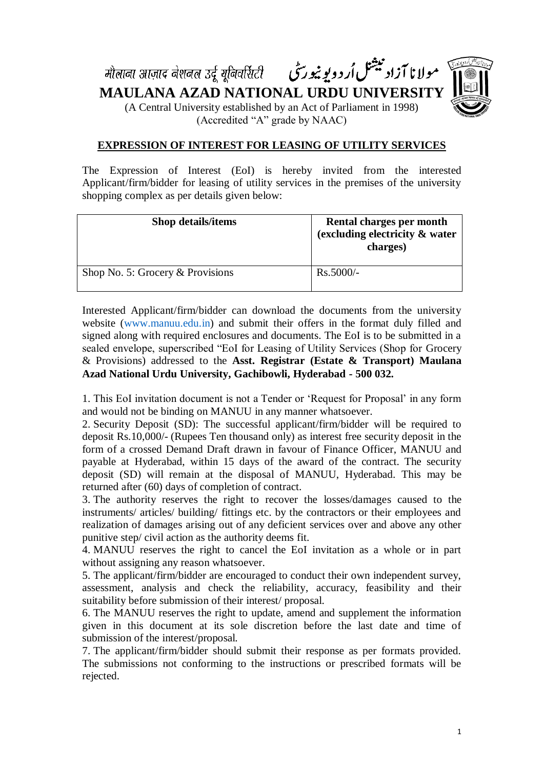مولانا آزاد بیشنل اُردویو نیورسی - मौलाना आज़ाद नेशनल उर्दू यूनिवर्सिटी



**MAULANA AZAD NATIONAL URDU UNIVERSITY** (A Central University established by an Act of Parliament in 1998) (Accredited "A" grade by NAAC)

### **EXPRESSION OF INTEREST FOR LEASING OF UTILITY SERVICES**

The Expression of Interest (EoI) is hereby invited from the interested Applicant/firm/bidder for leasing of utility services in the premises of the university shopping complex as per details given below:

| <b>Shop details/items</b>          | Rental charges per month<br>(excluding electricity & water<br>charges) |
|------------------------------------|------------------------------------------------------------------------|
| Shop No. 5: Grocery $&$ Provisions | $Rs.5000/-$                                                            |

Interested Applicant/firm/bidder can download the documents from the university website (www.manuu.edu.in) and submit their offers in the format duly filled and signed along with required enclosures and documents. The EoI is to be submitted in a sealed envelope, superscribed "EoI for Leasing of Utility Services (Shop for Grocery & Provisions) addressed to the **Asst. Registrar (Estate & Transport) Maulana Azad National Urdu University, Gachibowli, Hyderabad - 500 032.**

1. This EoI invitation document is not a Tender or 'Request for Proposal' in any form and would not be binding on MANUU in any manner whatsoever.

2. Security Deposit (SD): The successful applicant/firm/bidder will be required to deposit Rs.10,000/- (Rupees Ten thousand only) as interest free security deposit in the form of a crossed Demand Draft drawn in favour of Finance Officer, MANUU and payable at Hyderabad, within 15 days of the award of the contract. The security deposit (SD) will remain at the disposal of MANUU, Hyderabad. This may be returned after (60) days of completion of contract.

3. The authority reserves the right to recover the losses/damages caused to the instruments/ articles/ building/ fittings etc. by the contractors or their employees and realization of damages arising out of any deficient services over and above any other punitive step/ civil action as the authority deems fit.

4. MANUU reserves the right to cancel the EoI invitation as a whole or in part without assigning any reason whatsoever.

5. The applicant/firm/bidder are encouraged to conduct their own independent survey, assessment, analysis and check the reliability, accuracy, feasibility and their suitability before submission of their interest/ proposal.

6. The MANUU reserves the right to update, amend and supplement the information given in this document at its sole discretion before the last date and time of submission of the interest/proposal.

7. The applicant/firm/bidder should submit their response as per formats provided. The submissions not conforming to the instructions or prescribed formats will be rejected.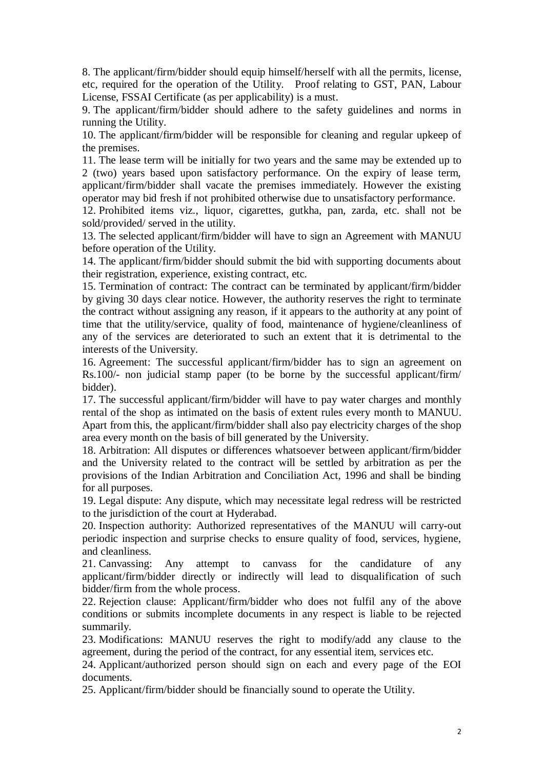8. The applicant/firm/bidder should equip himself/herself with all the permits, license, etc, required for the operation of the Utility. Proof relating to GST, PAN, Labour License, FSSAI Certificate (as per applicability) is a must.

9. The applicant/firm/bidder should adhere to the safety guidelines and norms in running the Utility.

10. The applicant/firm/bidder will be responsible for cleaning and regular upkeep of the premises.

11. The lease term will be initially for two years and the same may be extended up to 2 (two) years based upon satisfactory performance. On the expiry of lease term, applicant/firm/bidder shall vacate the premises immediately. However the existing operator may bid fresh if not prohibited otherwise due to unsatisfactory performance.

12. Prohibited items viz., liquor, cigarettes, gutkha, pan, zarda, etc. shall not be sold/provided/ served in the utility.

13. The selected applicant/firm/bidder will have to sign an Agreement with MANUU before operation of the Utility.

14. The applicant/firm/bidder should submit the bid with supporting documents about their registration, experience, existing contract, etc.

15. Termination of contract: The contract can be terminated by applicant/firm/bidder by giving 30 days clear notice. However, the authority reserves the right to terminate the contract without assigning any reason, if it appears to the authority at any point of time that the utility/service, quality of food, maintenance of hygiene/cleanliness of any of the services are deteriorated to such an extent that it is detrimental to the interests of the University.

16. Agreement: The successful applicant/firm/bidder has to sign an agreement on Rs.100/- non judicial stamp paper (to be borne by the successful applicant/firm/ bidder).

17. The successful applicant/firm/bidder will have to pay water charges and monthly rental of the shop as intimated on the basis of extent rules every month to MANUU. Apart from this, the applicant/firm/bidder shall also pay electricity charges of the shop area every month on the basis of bill generated by the University.

18. Arbitration: All disputes or differences whatsoever between applicant/firm/bidder and the University related to the contract will be settled by arbitration as per the provisions of the Indian Arbitration and Conciliation Act, 1996 and shall be binding for all purposes.

19. Legal dispute: Any dispute, which may necessitate legal redress will be restricted to the jurisdiction of the court at Hyderabad.

20. Inspection authority: Authorized representatives of the MANUU will carry-out periodic inspection and surprise checks to ensure quality of food, services, hygiene, and cleanliness.

21. Canvassing: Any attempt to canvass for the candidature of any applicant/firm/bidder directly or indirectly will lead to disqualification of such bidder/firm from the whole process.

22. Rejection clause: Applicant/firm/bidder who does not fulfil any of the above conditions or submits incomplete documents in any respect is liable to be rejected summarily.

23. Modifications: MANUU reserves the right to modify/add any clause to the agreement, during the period of the contract, for any essential item, services etc.

24. Applicant/authorized person should sign on each and every page of the EOI documents.

25. Applicant/firm/bidder should be financially sound to operate the Utility.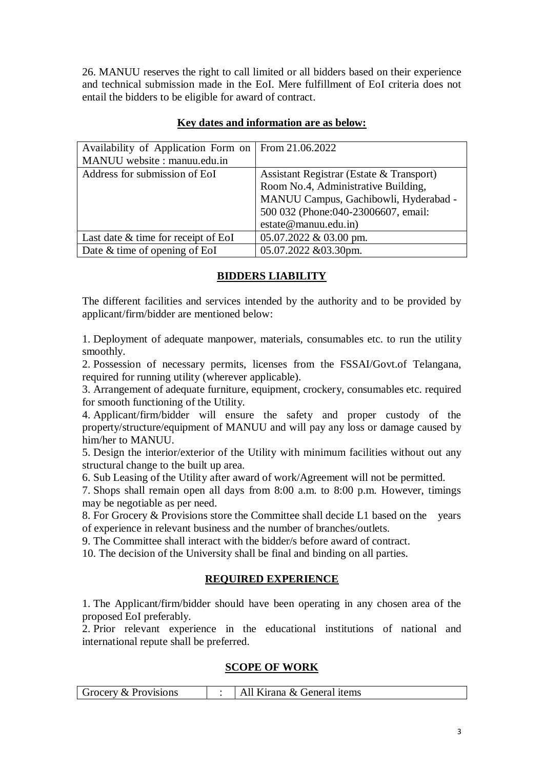26. MANUU reserves the right to call limited or all bidders based on their experience and technical submission made in the EoI. Mere fulfillment of EoI criteria does not entail the bidders to be eligible for award of contract.

| Availability of Application Form on   | From 21.06.2022                          |
|---------------------------------------|------------------------------------------|
| MANUU website: manuu.edu.in           |                                          |
| Address for submission of EoI         | Assistant Registrar (Estate & Transport) |
|                                       | Room No.4, Administrative Building,      |
|                                       | MANUU Campus, Gachibowli, Hyderabad -    |
|                                       | 500 032 (Phone:040-23006607, email:      |
|                                       | estate@manuu.edu.in)                     |
| Last date $&$ time for receipt of EoI | 05.07.2022 & 03.00 pm.                   |
| Date & time of opening of EoI         | 05.07.2022 &03.30pm.                     |

# **Key dates and information are as below:**

# **BIDDERS LIABILITY**

The different facilities and services intended by the authority and to be provided by applicant/firm/bidder are mentioned below:

1. Deployment of adequate manpower, materials, consumables etc. to run the utility smoothly.

2. Possession of necessary permits, licenses from the FSSAI/Govt.of Telangana, required for running utility (wherever applicable).

3. Arrangement of adequate furniture, equipment, crockery, consumables etc. required for smooth functioning of the Utility.

4. Applicant/firm/bidder will ensure the safety and proper custody of the property/structure/equipment of MANUU and will pay any loss or damage caused by him/her to MANUU.

5. Design the interior/exterior of the Utility with minimum facilities without out any structural change to the built up area.

6. Sub Leasing of the Utility after award of work/Agreement will not be permitted.

7. Shops shall remain open all days from 8:00 a.m. to 8:00 p.m. However, timings may be negotiable as per need.

8. For Grocery & Provisions store the Committee shall decide L1 based on the years of experience in relevant business and the number of branches/outlets.

9. The Committee shall interact with the bidder/s before award of contract.

10. The decision of the University shall be final and binding on all parties.

# **REQUIRED EXPERIENCE**

1. The Applicant/firm/bidder should have been operating in any chosen area of the proposed EoI preferably.

2. Prior relevant experience in the educational institutions of national and international repute shall be preferred.

#### **SCOPE OF WORK**

| Grocery & Provisions |  | Kirana & General items |
|----------------------|--|------------------------|
|----------------------|--|------------------------|